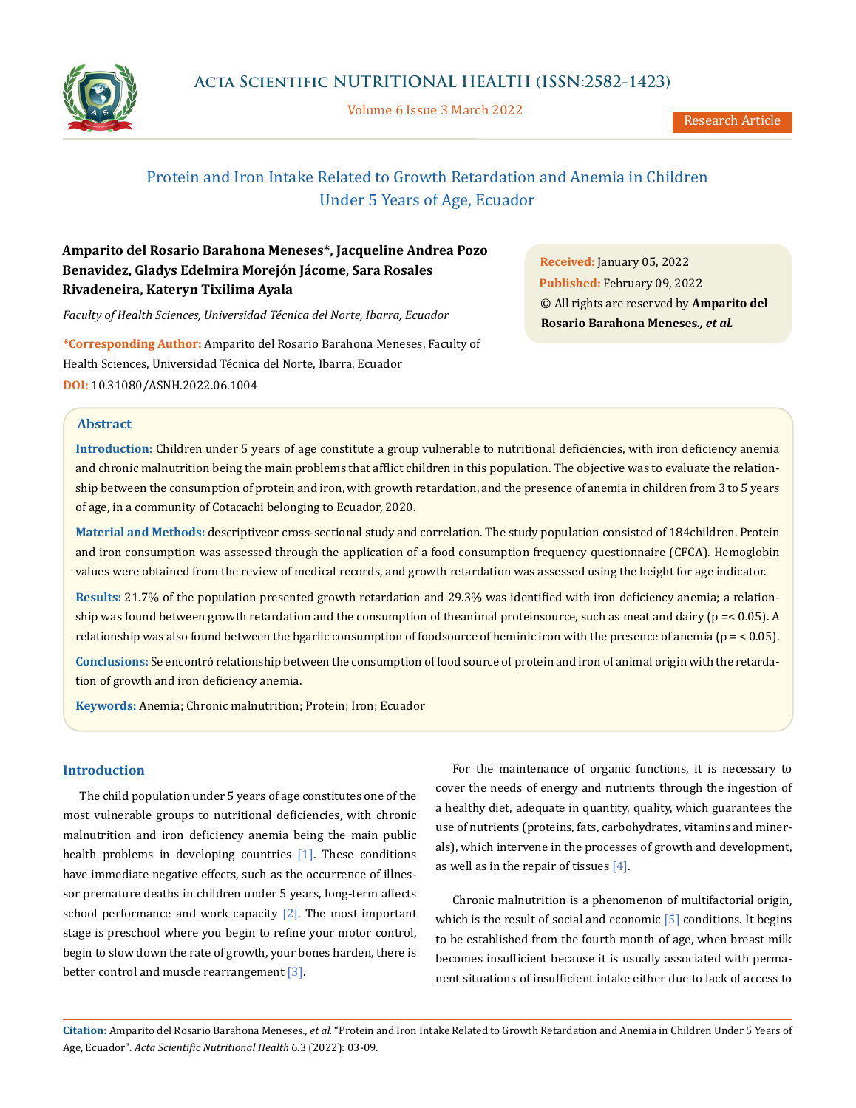

Volume 6 Issue 3 March 2022

# Protein and Iron Intake Related to Growth Retardation and Anemia in Children Under 5 Years of Age, Ecuador

## **Amparito del Rosario Barahona Meneses\*, Jacqueline Andrea Pozo Benavidez, Gladys Edelmira Morejón Jácome, Sara Rosales Rivadeneira, Kateryn Tixilima Ayala**

*Faculty of Health Sciences, Universidad Técnica del Norte, Ibarra, Ecuador*

**\*Corresponding Author:** Amparito del Rosario Barahona Meneses, Faculty of Health Sciences, Universidad Técnica del Norte, Ibarra, Ecuador **DOI:** [10.31080/ASNH.2022.06.1004](https://actascientific.com/ASNH/pdf/ASNH-06-1004.pdf)

**Abstract**

**Introduction:** Children under 5 years of age constitute a group vulnerable to nutritional deficiencies, with iron deficiency anemia and chronic malnutrition being the main problems that afflict children in this population. The objective was to evaluate the relationship between the consumption of protein and iron, with growth retardation, and the presence of anemia in children from 3 to 5 years of age, in a community of Cotacachi belonging to Ecuador, 2020.

**Material and Methods:** descriptiveor cross-sectional study and correlation. The study population consisted of 184children. Protein and iron consumption was assessed through the application of a food consumption frequency questionnaire (CFCA). Hemoglobin values were obtained from the review of medical records, and growth retardation was assessed using the height for age indicator.

**Results:** 21.7% of the population presented growth retardation and 29.3% was identified with iron deficiency anemia; a relationship was found between growth retardation and the consumption of theanimal proteinsource, such as meat and dairy (p =< 0.05). A relationship was also found between the bgarlic consumption of foodsource of heminic iron with the presence of anemia ( $p = < 0.05$ ).

**Conclusions:** Se encontró relationship between the consumption of food source of protein and iron of animal origin with the retardation of growth and iron deficiency anemia.

**Keywords:** Anemia; Chronic malnutrition; Protein; Iron; Ecuador

## **Introduction**

The child population under 5 years of age constitutes one of the most vulnerable groups to nutritional deficiencies, with chronic malnutrition and iron deficiency anemia being the main public health problems in developing countries [1]. These conditions have immediate negative effects, such as the occurrence of illnessor premature deaths in children under 5 years, long-term affects school performance and work capacity  $[2]$ . The most important stage is preschool where you begin to refine your motor control, begin to slow down the rate of growth, your bones harden, there is better control and muscle rearrangement [3].

For the maintenance of organic functions, it is necessary to cover the needs of energy and nutrients through the ingestion of a healthy diet, adequate in quantity, quality, which guarantees the use of nutrients (proteins, fats, carbohydrates, vitamins and minerals), which intervene in the processes of growth and development, as well as in the repair of tissues  $[4]$ .

Chronic malnutrition is a phenomenon of multifactorial origin, which is the result of social and economic  $\lceil 5 \rceil$  conditions. It begins to be established from the fourth month of age, when breast milk becomes insufficient because it is usually associated with permanent situations of insufficient intake either due to lack of access to

**Citation:** Amparito del Rosario Barahona Meneses*., et al.* "Protein and Iron Intake Related to Growth Retardation and Anemia in Children Under 5 Years of Age, Ecuador". *Acta Scientific Nutritional Health* 6.3 (2022): 03-09.

**Received:** January 05, 2022 **Published:** February 09, 2022 © All rights are reserved by **Amparito del Rosario Barahona Meneses***., et al.*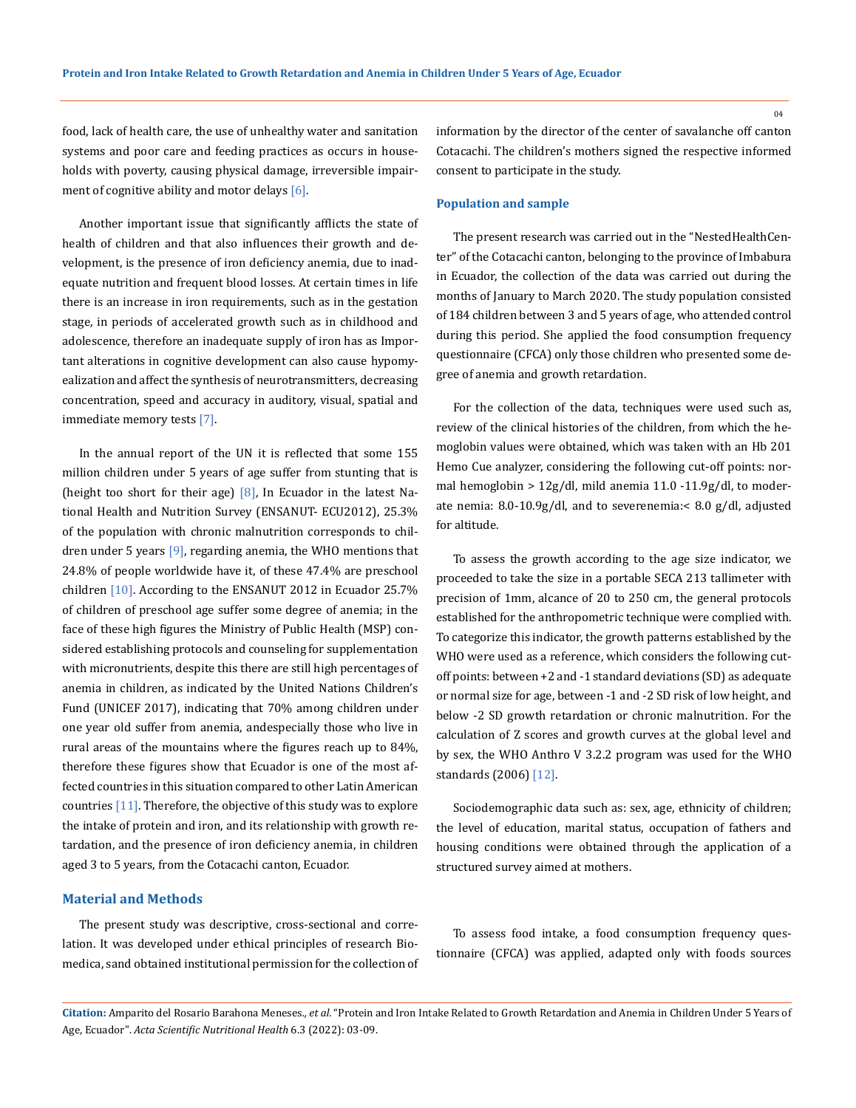food, lack of health care, the use of unhealthy water and sanitation systems and poor care and feeding practices as occurs in households with poverty, causing physical damage, irreversible impairment of cognitive ability and motor delays [6].

Another important issue that significantly afflicts the state of health of children and that also influences their growth and development, is the presence of iron deficiency anemia, due to inadequate nutrition and frequent blood losses. At certain times in life there is an increase in iron requirements, such as in the gestation stage, in periods of accelerated growth such as in childhood and adolescence, therefore an inadequate supply of iron has as Important alterations in cognitive development can also cause hypomyealization and affect the synthesis of neurotransmitters, decreasing concentration, speed and accuracy in auditory, visual, spatial and immediate memory tests [7].

In the annual report of the UN it is reflected that some 155 million children under 5 years of age suffer from stunting that is (height too short for their age) [8], In Ecuador in the latest National Health and Nutrition Survey (ENSANUT- ECU2012), 25.3% of the population with chronic malnutrition corresponds to children under 5 years [9], regarding anemia, the WHO mentions that 24.8% of people worldwide have it, of these 47.4% are preschool children [10]. According to the ENSANUT 2012 in Ecuador 25.7% of children of preschool age suffer some degree of anemia; in the face of these high figures the Ministry of Public Health (MSP) considered establishing protocols and counseling for supplementation with micronutrients, despite this there are still high percentages of anemia in children, as indicated by the United Nations Children's Fund (UNICEF 2017), indicating that 70% among children under one year old suffer from anemia, andespecially those who live in rural areas of the mountains where the figures reach up to 84%, therefore these figures show that Ecuador is one of the most affected countries in this situation compared to other Latin American countries [11]. Therefore, the objective of this study was to explore the intake of protein and iron, and its relationship with growth retardation, and the presence of iron deficiency anemia, in children aged 3 to 5 years, from the Cotacachi canton, Ecuador.

## **Material and Methods**

The present study was descriptive, cross-sectional and correlation. It was developed under ethical principles of research Biomedica, sand obtained institutional permission for the collection of information by the director of the center of savalanche off canton Cotacachi. The children's mothers signed the respective informed consent to participate in the study.

#### **Population and sample**

The present research was carried out in the "NestedHealthCenter" of the Cotacachi canton, belonging to the province of Imbabura in Ecuador, the collection of the data was carried out during the months of January to March 2020. The study population consisted of 184 children between 3 and 5 years of age, who attended control during this period. She applied the food consumption frequency questionnaire (CFCA) only those children who presented some degree of anemia and growth retardation.

For the collection of the data, techniques were used such as, review of the clinical histories of the children, from which the hemoglobin values were obtained, which was taken with an Hb 201 Hemo Cue analyzer, considering the following cut-off points: normal hemoglobin > 12g/dl, mild anemia 11.0 -11.9g/dl, to moderate nemia: 8.0-10.9g/dl, and to severenemia:< 8.0 g/dl, adjusted for altitude.

To assess the growth according to the age size indicator, we proceeded to take the size in a portable SECA 213 tallimeter with precision of 1mm, alcance of 20 to 250 cm, the general protocols established for the anthropometric technique were complied with. To categorize this indicator, the growth patterns established by the WHO were used as a reference, which considers the following cutoff points: between +2 and -1 standard deviations (SD) as adequate or normal size for age, between -1 and -2 SD risk of low height, and below -2 SD growth retardation or chronic malnutrition. For the calculation of Z scores and growth curves at the global level and by sex, the WHO Anthro V 3.2.2 program was used for the WHO standards (2006) [12].

Sociodemographic data such as: sex, age, ethnicity of children; the level of education, marital status, occupation of fathers and housing conditions were obtained through the application of a structured survey aimed at mothers.

To assess food intake, a food consumption frequency questionnaire (CFCA) was applied, adapted only with foods sources

**Citation:** Amparito del Rosario Barahona Meneses*., et al.* "Protein and Iron Intake Related to Growth Retardation and Anemia in Children Under 5 Years of Age, Ecuador". *Acta Scientific Nutritional Health* 6.3 (2022): 03-09.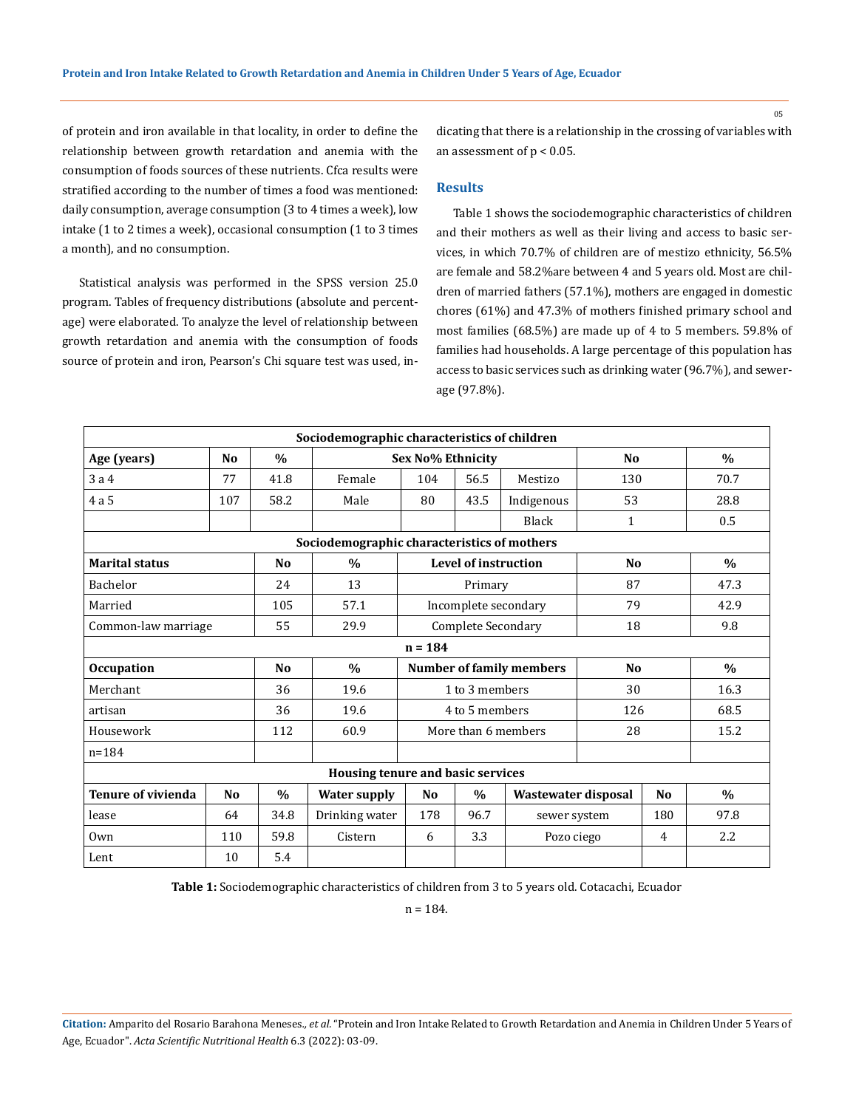of protein and iron available in that locality, in order to define the relationship between growth retardation and anemia with the consumption of foods sources of these nutrients. Cfca results were stratified according to the number of times a food was mentioned: daily consumption, average consumption (3 to 4 times a week), low intake (1 to 2 times a week), occasional consumption (1 to 3 times a month), and no consumption.

Statistical analysis was performed in the SPSS version 25.0 program. Tables of frequency distributions (absolute and percentage) were elaborated. To analyze the level of relationship between growth retardation and anemia with the consumption of foods source of protein and iron, Pearson's Chi square test was used, indicating that there is a relationship in the crossing of variables with an assessment of  $p < 0.05$ .

#### **Results**

Table 1 shows the sociodemographic characteristics of children and their mothers as well as their living and access to basic services, in which 70.7% of children are of mestizo ethnicity, 56.5% are female and 58.2%are between 4 and 5 years old. Most are children of married fathers (57.1%), mothers are engaged in domestic chores (61%) and 47.3% of mothers finished primary school and most families (68.5%) are made up of 4 to 5 members. 59.8% of families had households. A large percentage of this population has access to basic services such as drinking water (96.7%), and sewerage (97.8%).

| Sociodemographic characteristics of children |                |                |                     |                                 |               |                     |                |                |               |
|----------------------------------------------|----------------|----------------|---------------------|---------------------------------|---------------|---------------------|----------------|----------------|---------------|
| Age (years)                                  | N <sub>0</sub> | $\frac{0}{0}$  | Sex No% Ethnicity   |                                 |               | N <sub>0</sub>      |                | $\frac{0}{0}$  |               |
| 3a4                                          | 77             | 41.8           | Female              | 104                             | 56.5          | Mestizo             | 130            |                | 70.7          |
| 4a5                                          | 107            | 58.2           | Male                | 80                              | 43.5          | Indigenous          | 53             |                | 28.8          |
|                                              |                |                |                     |                                 |               | Black               | $\mathbf{1}$   |                | 0.5           |
| Sociodemographic characteristics of mothers  |                |                |                     |                                 |               |                     |                |                |               |
| <b>Marital status</b>                        |                | N <sub>0</sub> | $\frac{0}{0}$       | Level of instruction            |               |                     | N <sub>0</sub> |                | $\frac{0}{0}$ |
| Bachelor                                     |                | 24             | 13                  | Primary                         |               |                     | 87             |                | 47.3          |
| Married                                      |                | 105            | 57.1                | Incomplete secondary            |               |                     | 79             |                | 42.9          |
| Common-law marriage                          |                | 55             | 29.9                | <b>Complete Secondary</b>       |               |                     | 18             |                | 9.8           |
| $n = 184$                                    |                |                |                     |                                 |               |                     |                |                |               |
| <b>Occupation</b>                            |                | N <sub>o</sub> | $\frac{0}{0}$       | <b>Number of family members</b> |               |                     | N <sub>0</sub> |                | $\%$          |
| Merchant                                     |                | 36             | 19.6                | 1 to 3 members                  |               |                     | 30             |                | 16.3          |
| artisan                                      |                | 36             | 19.6                | 4 to 5 members                  |               | 126                 |                | 68.5           |               |
| Housework                                    |                | 112            | 60.9                | More than 6 members             |               | 28                  |                | 15.2           |               |
| $n = 184$                                    |                |                |                     |                                 |               |                     |                |                |               |
| Housing tenure and basic services            |                |                |                     |                                 |               |                     |                |                |               |
| <b>Tenure of vivienda</b>                    | N <sub>0</sub> | $\frac{0}{0}$  | <b>Water supply</b> | N <sub>0</sub>                  | $\frac{0}{0}$ | Wastewater disposal |                | N <sub>0</sub> | $\frac{0}{0}$ |
| lease                                        | 64             | 34.8           | Drinking water      | 178                             | 96.7          | 180<br>sewer system |                | 97.8           |               |
| Own                                          | 110            | 59.8           | Cistern             | 6                               | 3.3           | Pozo ciego<br>4     |                | 2.2            |               |
| Lent                                         | 10             | 5.4            |                     |                                 |               |                     |                |                |               |

**Table 1:** Sociodemographic characteristics of children from 3 to 5 years old. Cotacachi, Ecuador

n = 184.

**Citation:** Amparito del Rosario Barahona Meneses*., et al.* "Protein and Iron Intake Related to Growth Retardation and Anemia in Children Under 5 Years of Age, Ecuador". *Acta Scientific Nutritional Health* 6.3 (2022): 03-09.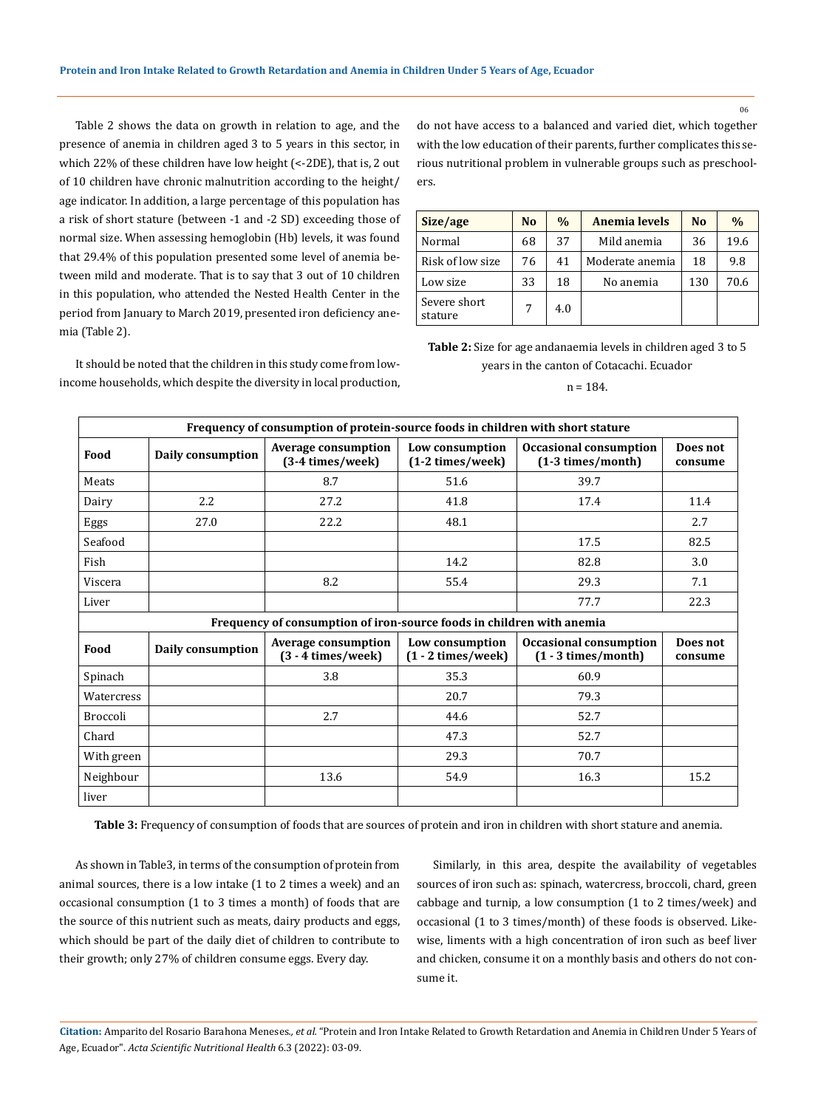Table 2 shows the data on growth in relation to age, and the presence of anemia in children aged 3 to 5 years in this sector, in which 22% of these children have low height (<-2DE), that is, 2 out of 10 children have chronic malnutrition according to the height/ age indicator. In addition, a large percentage of this population has a risk of short stature (between -1 and -2 SD) exceeding those of normal size. When assessing hemoglobin (Hb) levels, it was found that 29.4% of this population presented some level of anemia between mild and moderate. That is to say that 3 out of 10 children in this population, who attended the Nested Health Center in the period from January to March 2019, presented iron deficiency anemia (Table 2).

It should be noted that the children in this study come from lowincome households, which despite the diversity in local production, do not have access to a balanced and varied diet, which together with the low education of their parents, further complicates this serious nutritional problem in vulnerable groups such as preschoolers.

| Size/age                | N <sub>0</sub> | $\frac{0}{0}$ | <b>Anemia levels</b> | N <sub>0</sub> | $\frac{0}{0}$ |
|-------------------------|----------------|---------------|----------------------|----------------|---------------|
| Normal                  | 68             | 37            | Mild anemia          | 36             | 19.6          |
| Risk of low size        | 76             | 41            | Moderate anemia      | 18             | 9.8           |
| Low size                | 33             | 18            | No anemia            | 130            | 70.6          |
| Severe short<br>stature | 7              | 4.0           |                      |                |               |

**Table 2:** Size for age andanaemia levels in children aged 3 to 5 years in the canton of Cotacachi. Ecuador

 $n = 184$ 

| Frequency of consumption of protein-source foods in children with short stature |                   |                                                                   |                                         |                                                        |                     |  |  |  |  |
|---------------------------------------------------------------------------------|-------------------|-------------------------------------------------------------------|-----------------------------------------|--------------------------------------------------------|---------------------|--|--|--|--|
| Food                                                                            | Daily consumption | <b>Average consumption</b><br>(3-4 times/week)                    | Low consumption<br>(1-2 times/week)     | Occasional consumption<br>(1-3 times/month)            | Does not<br>consume |  |  |  |  |
| Meats                                                                           |                   | 8.7                                                               | 51.6                                    | 39.7                                                   |                     |  |  |  |  |
| Dairy                                                                           | 2.2               | 27.2                                                              | 41.8                                    | 17.4                                                   | 11.4                |  |  |  |  |
| Eggs                                                                            | 27.0              | 22.2                                                              | 48.1                                    |                                                        | 2.7                 |  |  |  |  |
| Seafood                                                                         |                   |                                                                   |                                         | 17.5                                                   | 82.5                |  |  |  |  |
| Fish                                                                            |                   |                                                                   | 14.2                                    | 82.8                                                   | 3.0                 |  |  |  |  |
| Viscera                                                                         |                   | 8.2                                                               | 55.4                                    | 29.3                                                   | 7.1                 |  |  |  |  |
| Liver                                                                           |                   |                                                                   |                                         | 77.7                                                   | 22.3                |  |  |  |  |
| Frequency of consumption of iron-source foods in children with anemia           |                   |                                                                   |                                         |                                                        |                     |  |  |  |  |
| Food                                                                            | Daily consumption | <b>Average consumption</b><br>$(3 - 4 \times   \cdot \text{wek})$ | Low consumption<br>$(1 - 2 \times  w )$ | <b>Occasional consumption</b><br>$(1 - 3$ times/month) | Does not<br>consume |  |  |  |  |
| Spinach                                                                         |                   | 3.8                                                               | 35.3                                    | 60.9                                                   |                     |  |  |  |  |
| Watercress                                                                      |                   |                                                                   | 20.7                                    | 79.3                                                   |                     |  |  |  |  |
| <b>Broccoli</b>                                                                 |                   | 2.7                                                               | 44.6                                    | 52.7                                                   |                     |  |  |  |  |
| Chard                                                                           |                   |                                                                   | 47.3                                    | 52.7                                                   |                     |  |  |  |  |
| With green                                                                      |                   |                                                                   | 29.3                                    | 70.7                                                   |                     |  |  |  |  |
| Neighbour                                                                       |                   | 13.6                                                              | 54.9                                    | 16.3                                                   | 15.2                |  |  |  |  |
| liver                                                                           |                   |                                                                   |                                         |                                                        |                     |  |  |  |  |

**Table 3:** Frequency of consumption of foods that are sources of protein and iron in children with short stature and anemia.

As shown in Table3, in terms of the consumption of protein from animal sources, there is a low intake (1 to 2 times a week) and an occasional consumption (1 to 3 times a month) of foods that are the source of this nutrient such as meats, dairy products and eggs, which should be part of the daily diet of children to contribute to their growth; only 27% of children consume eggs. Every day.

Similarly, in this area, despite the availability of vegetables sources of iron such as: spinach, watercress, broccoli, chard, green cabbage and turnip, a low consumption (1 to 2 times/week) and occasional (1 to 3 times/month) of these foods is observed. Likewise, liments with a high concentration of iron such as beef liver and chicken, consume it on a monthly basis and others do not consume it.

**Citation:** Amparito del Rosario Barahona Meneses*., et al.* "Protein and Iron Intake Related to Growth Retardation and Anemia in Children Under 5 Years of Age, Ecuador". *Acta Scientific Nutritional Health* 6.3 (2022): 03-09.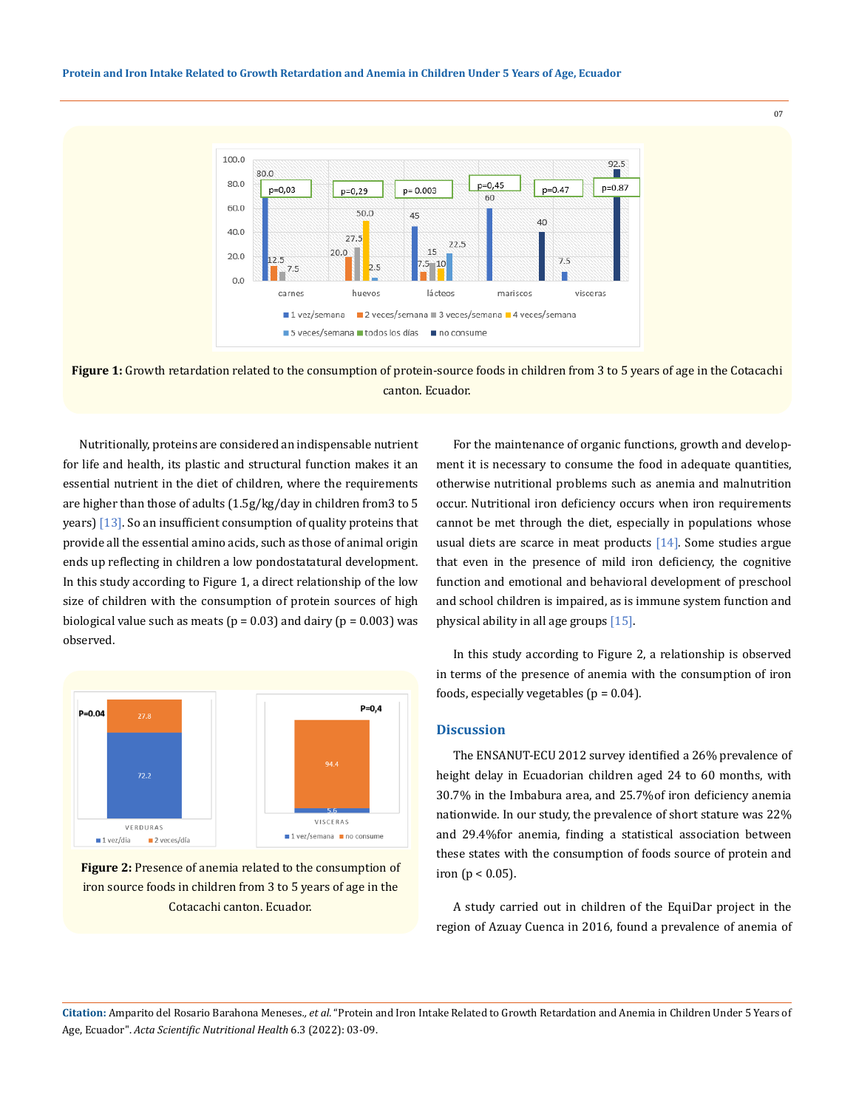#### **Protein and Iron Intake Related to Growth Retardation and Anemia in Children Under 5 Years of Age, Ecuador**



**Figure 1:** Growth retardation related to the consumption of protein-source foods in children from 3 to 5 years of age in the Cotacachi canton. Ecuador.

Nutritionally, proteins are considered an indispensable nutrient for life and health, its plastic and structural function makes it an essential nutrient in the diet of children, where the requirements are higher than those of adults (1.5g/kg/day in children from3 to 5 years) [13]. So an insufficient consumption of quality proteins that provide all the essential amino acids, such as those of animal origin ends up reflecting in children a low pondostatatural development. In this study according to Figure 1, a direct relationship of the low size of children with the consumption of protein sources of high biological value such as meats ( $p = 0.03$ ) and dairy ( $p = 0.003$ ) was observed.





For the maintenance of organic functions, growth and development it is necessary to consume the food in adequate quantities, otherwise nutritional problems such as anemia and malnutrition occur. Nutritional iron deficiency occurs when iron requirements cannot be met through the diet, especially in populations whose usual diets are scarce in meat products [14]. Some studies argue that even in the presence of mild iron deficiency, the cognitive function and emotional and behavioral development of preschool and school children is impaired, as is immune system function and physical ability in all age groups [15].

07

In this study according to Figure 2, a relationship is observed in terms of the presence of anemia with the consumption of iron foods, especially vegetables ( $p = 0.04$ ).

## **Discussion**

The ENSANUT-ECU 2012 survey identified a 26% prevalence of height delay in Ecuadorian children aged 24 to 60 months, with 30.7% in the Imbabura area, and 25.7%of iron deficiency anemia nationwide. In our study, the prevalence of short stature was 22% and 29.4%for anemia, finding a statistical association between these states with the consumption of foods source of protein and iron ( $p < 0.05$ ).

A study carried out in children of the EquiDar project in the region of Azuay Cuenca in 2016, found a prevalence of anemia of

**Citation:** Amparito del Rosario Barahona Meneses*., et al.* "Protein and Iron Intake Related to Growth Retardation and Anemia in Children Under 5 Years of Age, Ecuador". *Acta Scientific Nutritional Health* 6.3 (2022): 03-09.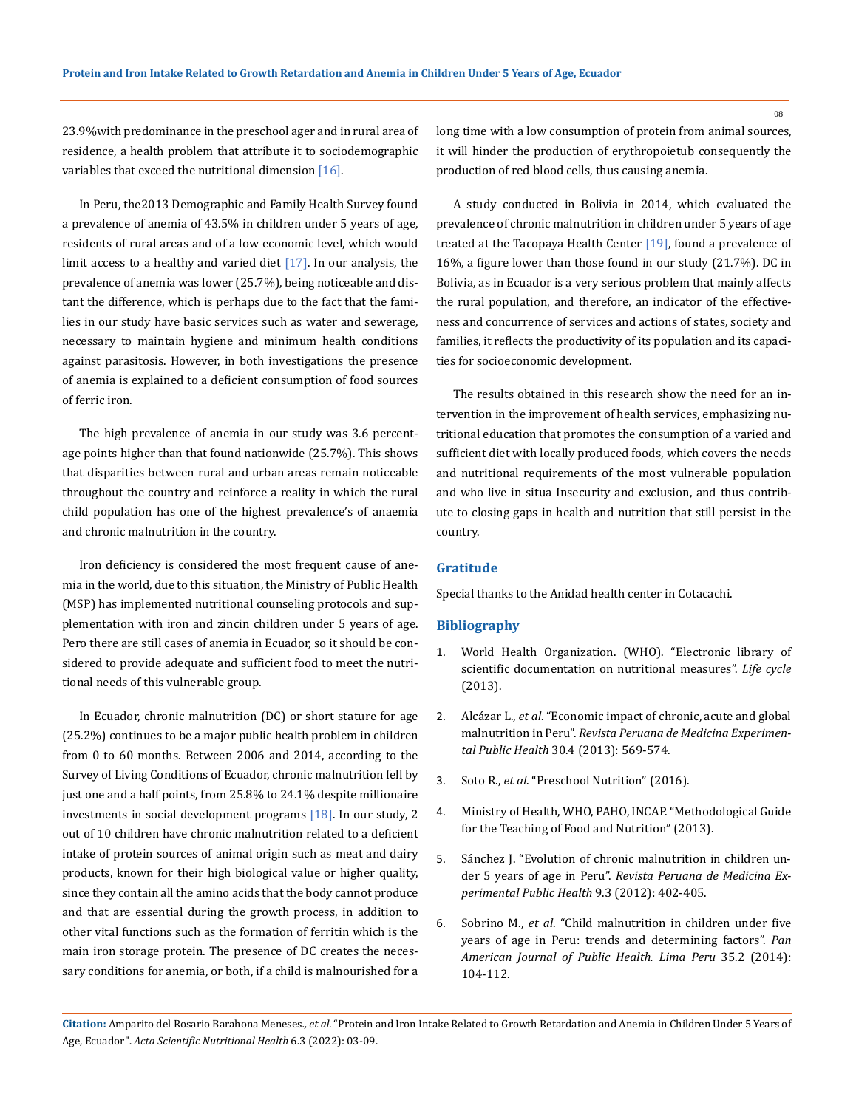23.9%with predominance in the preschool ager and in rural area of residence, a health problem that attribute it to sociodemographic variables that exceed the nutritional dimension  $[16]$ .

In Peru, the2013 Demographic and Family Health Survey found a prevalence of anemia of 43.5% in children under 5 years of age, residents of rural areas and of a low economic level, which would limit access to a healthy and varied diet  $[17]$ . In our analysis, the prevalence of anemia was lower (25.7%), being noticeable and distant the difference, which is perhaps due to the fact that the families in our study have basic services such as water and sewerage, necessary to maintain hygiene and minimum health conditions against parasitosis. However, in both investigations the presence of anemia is explained to a deficient consumption of food sources of ferric iron.

The high prevalence of anemia in our study was 3.6 percentage points higher than that found nationwide (25.7%). This shows that disparities between rural and urban areas remain noticeable throughout the country and reinforce a reality in which the rural child population has one of the highest prevalence's of anaemia and chronic malnutrition in the country.

Iron deficiency is considered the most frequent cause of anemia in the world, due to this situation, the Ministry of Public Health (MSP) has implemented nutritional counseling protocols and supplementation with iron and zincin children under 5 years of age. Pero there are still cases of anemia in Ecuador, so it should be considered to provide adequate and sufficient food to meet the nutritional needs of this vulnerable group.

In Ecuador, chronic malnutrition (DC) or short stature for age (25.2%) continues to be a major public health problem in children from 0 to 60 months. Between 2006 and 2014, according to the Survey of Living Conditions of Ecuador, chronic malnutrition fell by just one and a half points, from 25.8% to 24.1% despite millionaire investments in social development programs [18]. In our study, 2 out of 10 children have chronic malnutrition related to a deficient intake of protein sources of animal origin such as meat and dairy products, known for their high biological value or higher quality, since they contain all the amino acids that the body cannot produce and that are essential during the growth process, in addition to other vital functions such as the formation of ferritin which is the main iron storage protein. The presence of DC creates the necessary conditions for anemia, or both, if a child is malnourished for a long time with a low consumption of protein from animal sources, it will hinder the production of erythropoietub consequently the production of red blood cells, thus causing anemia.

A study conducted in Bolivia in 2014, which evaluated the prevalence of chronic malnutrition in children under 5 years of age treated at the Tacopaya Health Center [19], found a prevalence of 16%, a figure lower than those found in our study (21.7%). DC in Bolivia, as in Ecuador is a very serious problem that mainly affects the rural population, and therefore, an indicator of the effectiveness and concurrence of services and actions of states, society and families, it reflects the productivity of its population and its capacities for socioeconomic development.

The results obtained in this research show the need for an intervention in the improvement of health services, emphasizing nutritional education that promotes the consumption of a varied and sufficient diet with locally produced foods, which covers the needs and nutritional requirements of the most vulnerable population and who live in situa Insecurity and exclusion, and thus contribute to closing gaps in health and nutrition that still persist in the country.

## **Gratitude**

Special thanks to the Anidad health center in Cotacachi.

## **Bibliography**

- 1. World Health Organization. (WHO). "Electronic library of scientific documentation on nutritional measures". *Life cycle*  (2013).
- 2. Alcázar L., *et al*[. "Economic impact of chronic, acute and global](https://pubmed.ncbi.nlm.nih.gov/24448931/) malnutrition in Peru". *[Revista Peruana de Medicina Experimen](https://pubmed.ncbi.nlm.nih.gov/24448931/)tal Public Health* [30.4 \(2013\): 569-574.](https://pubmed.ncbi.nlm.nih.gov/24448931/)
- 3. Soto R., *et al*[. "Preschool Nutrition" \(2016\).](https://www.stanfordchildrens.org/en/topic/default?id=preschooler-nutrition-90-P02273)
- 4. Ministry of Health, WHO, PAHO, INCAP. "Methodological Guide for the Teaching of Food and Nutrition" (2013).
- 5. [Sánchez J. "Evolution of chronic malnutrition in children un](https://pubmed.ncbi.nlm.nih.gov/23085805/)der 5 years of age in Peru". *[Revista Peruana de Medicina Ex](https://pubmed.ncbi.nlm.nih.gov/23085805/)[perimental Public Health](https://pubmed.ncbi.nlm.nih.gov/23085805/)* 9.3 (2012): 402-405.
- 6. Sobrino M., *et al*[. "Child malnutrition in children under five](https://pubmed.ncbi.nlm.nih.gov/24781091/) [years of age in Peru: trends and determining factors".](https://pubmed.ncbi.nlm.nih.gov/24781091/) *Pan [American Journal of Public Health. Lima Peru](https://pubmed.ncbi.nlm.nih.gov/24781091/)* 35.2 (2014): [104-112.](https://pubmed.ncbi.nlm.nih.gov/24781091/)

**Citation:** Amparito del Rosario Barahona Meneses*., et al.* "Protein and Iron Intake Related to Growth Retardation and Anemia in Children Under 5 Years of Age, Ecuador". *Acta Scientific Nutritional Health* 6.3 (2022): 03-09.